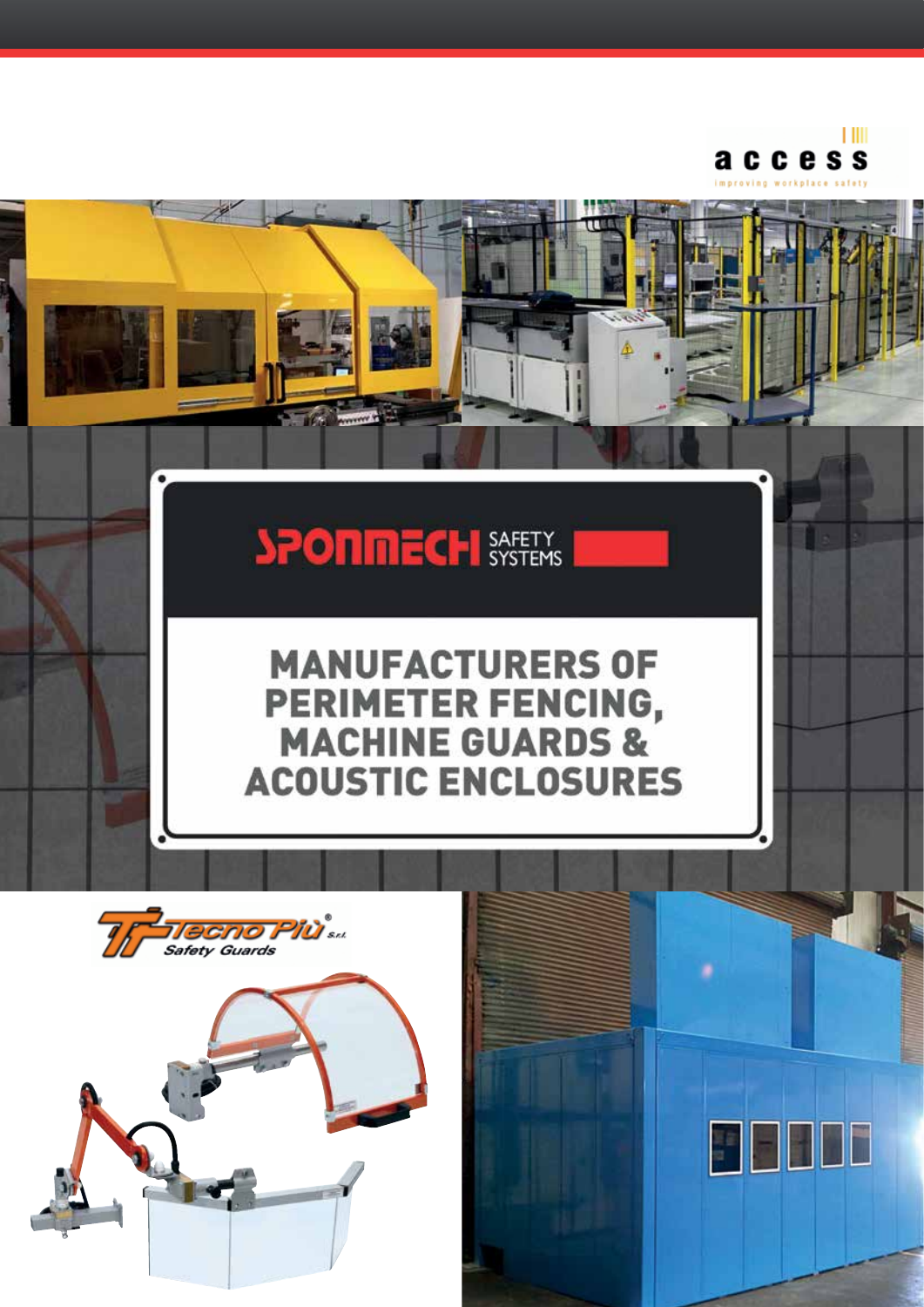

## **SPONMECH SASERY**

## **MANUFACTURERS OF PERIMETER FENCING,<br>MACHINE GUARDS & ACOUSTIC ENCLOSURES**



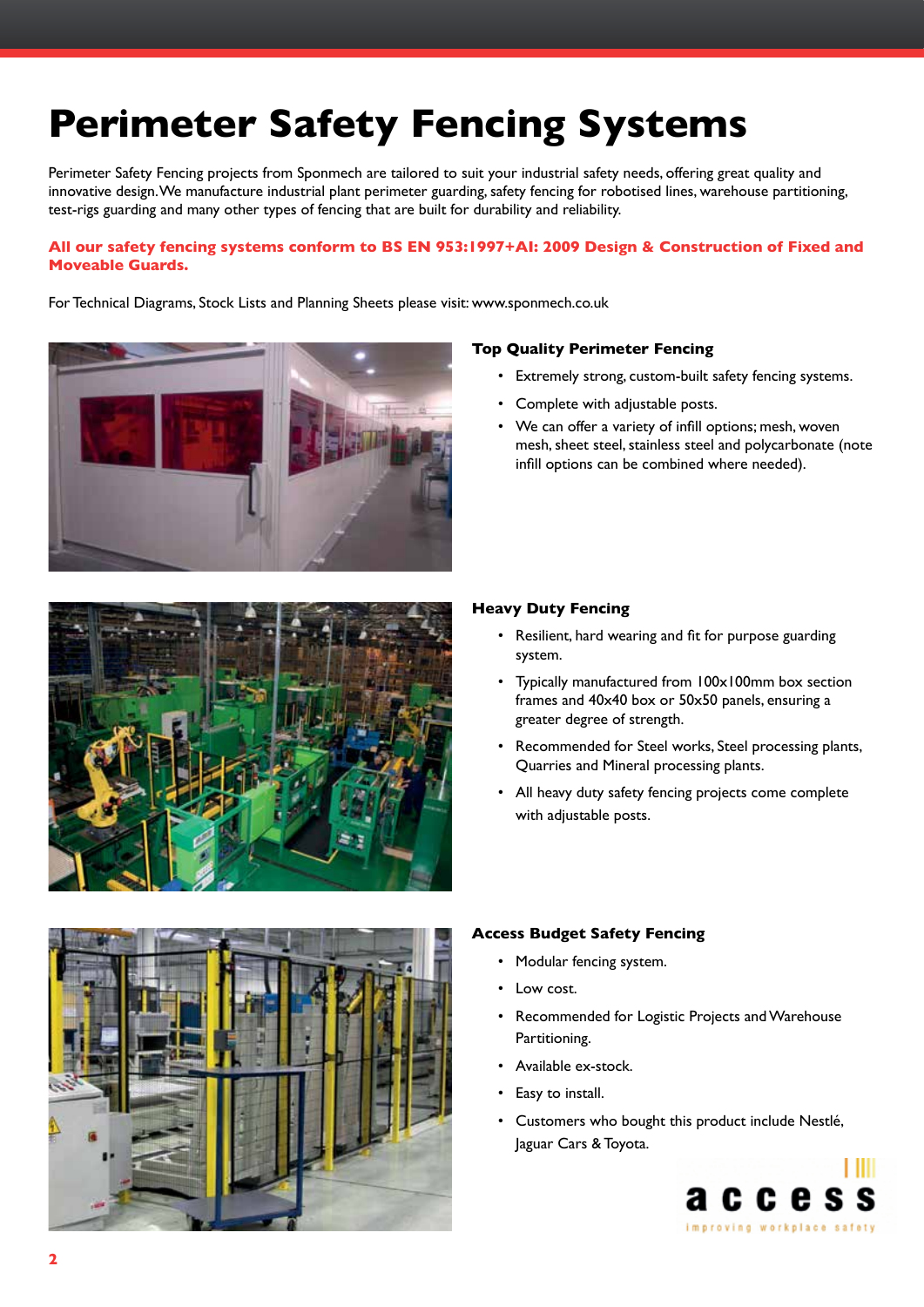### **Perimeter Safety Fencing Systems**

Perimeter Safety Fencing projects from Sponmech are tailored to suit your industrial safety needs, offering great quality and innovative design. We manufacture industrial plant perimeter guarding, safety fencing for robotised lines, warehouse partitioning, test-rigs guarding and many other types of fencing that are built for durability and reliability.

#### **All our safety fencing systems conform to BS EN 953:1997+AI: 2009 Design & Construction of Fixed and Moveable Guards.**

For Technical Diagrams, Stock Lists and Planning Sheets please visit: www.sponmech.co.uk





#### **Top Quality Perimeter Fencing**

- • Extremely strong, custom-built safety fencing systems.
- • Complete with adjustable posts.
- We can offer a variety of infill options; mesh, woven mesh, sheet steel, stainless steel and polycarbonate (note infill options can be combined where needed).

#### **Heavy Duty Fencing**

- • Resilient, hard wearing and fit for purpose guarding system.
- • Typically manufactured from 100x100mm box section frames and 40x40 box or 50x50 panels, ensuring a greater degree of strength.
- Recommended for Steel works, Steel processing plants, Quarries and Mineral processing plants.
- All heavy duty safety fencing projects come complete with adjustable posts.



#### **Access Budget Safety Fencing**

- Modular fencing system.
- Low cost.
- • Recommended for Logistic Projects and Warehouse Partitioning.
- Available ex-stock.
- Easy to install.
- • Customers who bought this product include Nestlé, Jaguar Cars & Toyota.

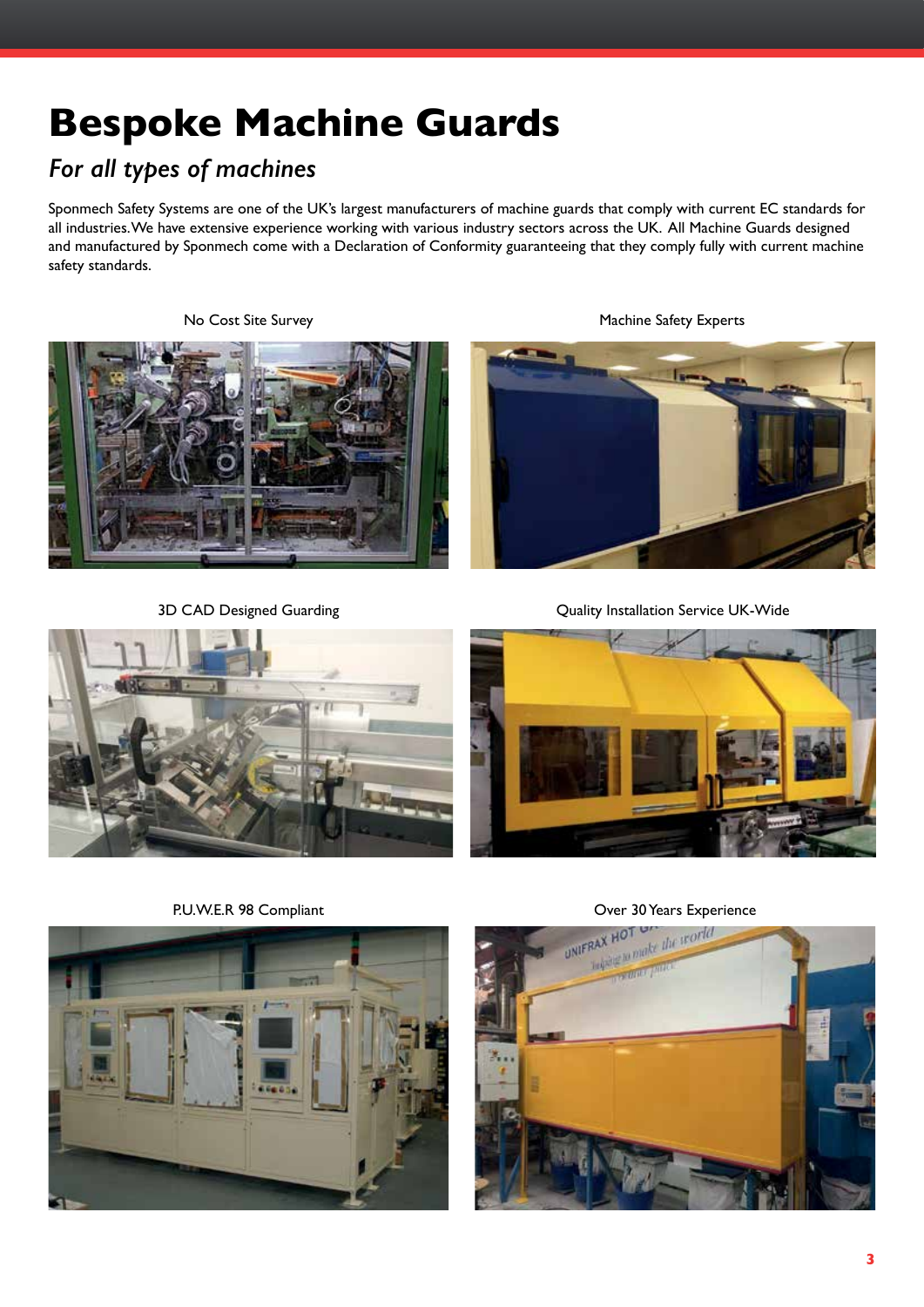### **Bespoke Machine Guards**

### *For all types of machines*

Sponmech Safety Systems are one of the UK's largest manufacturers of machine guards that comply with current EC standards for all industries. We have extensive experience working with various industry sectors across the UK. All Machine Guards designed and manufactured by Sponmech come with a Declaration of Conformity guaranteeing that they comply fully with current machine safety standards.

No Cost Site Survey **Machine Safety Experts** 



3D CAD Designed Guarding







Quality Installation Service UK-Wide

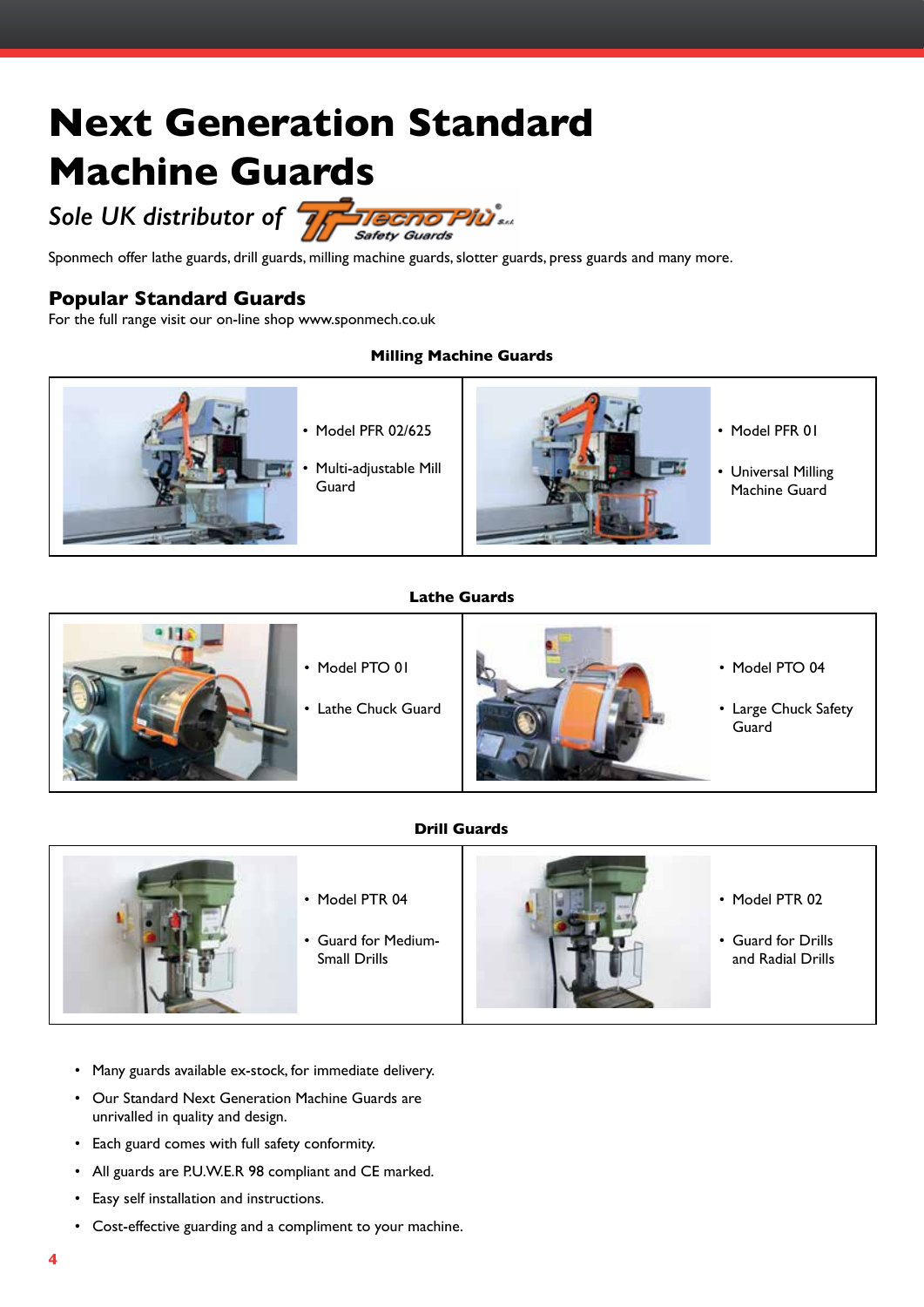## **Next Generation Standard Machine Guards**

*Sole UK distributor of*



Sponmech offer lathe guards, drill guards, milling machine guards, slotter guards, press guards and many more.

#### **Popular Standard Guards**

For the full range visit our on-line shop www.sponmech.co.uk

#### **Milling Machine Guards**



#### **Lathe Guards**



#### **Drill Guards**



- • Many guards available ex-stock, for immediate delivery.
- Our Standard Next Generation Machine Guards are unrivalled in quality and design.
- • Each guard comes with full safety conformity.
- All guards are P.U.W.E.R 98 compliant and CE marked.
- • Easy self installation and instructions.
- • Cost-effective guarding and a compliment to your machine.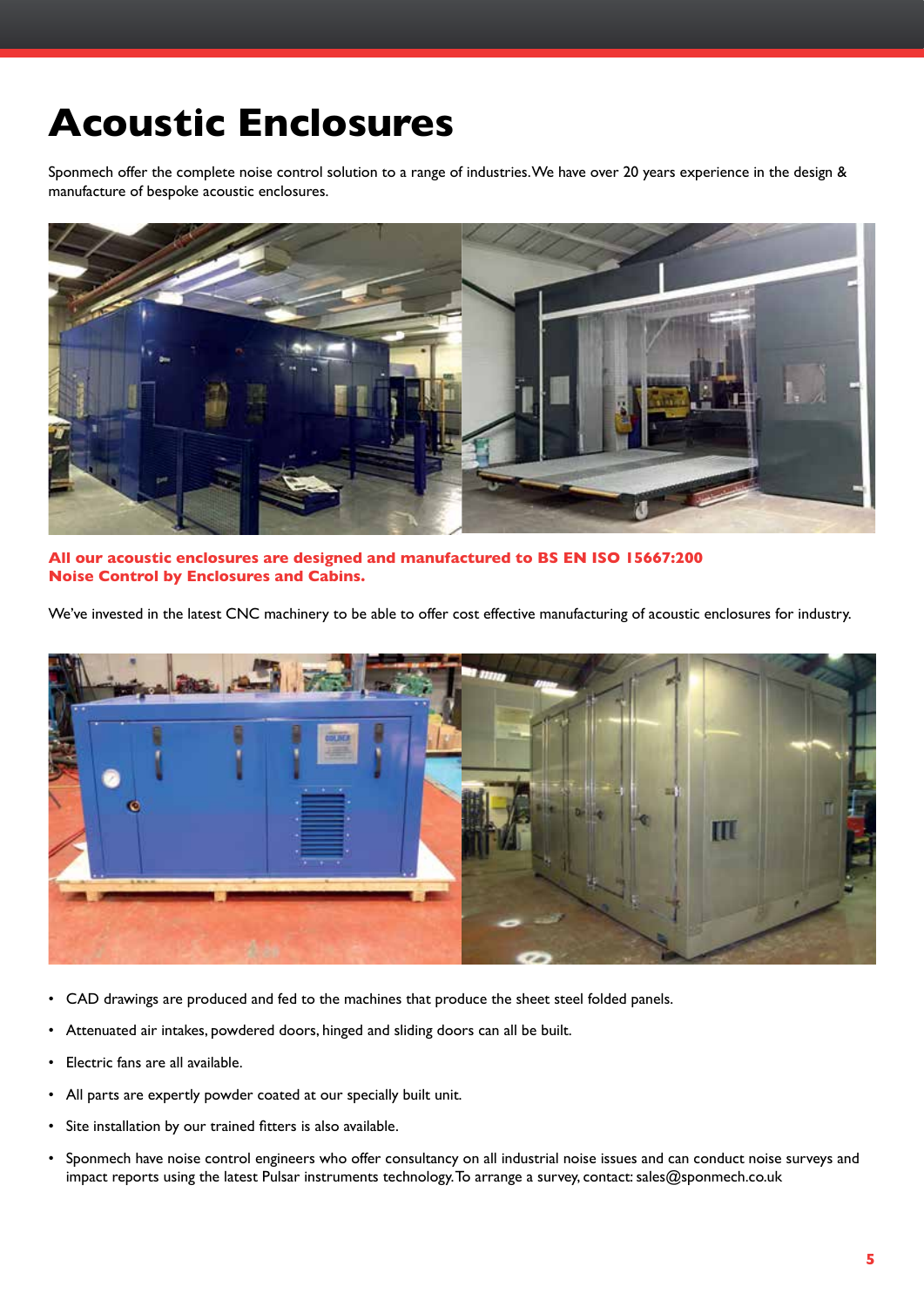### **Acoustic Enclosures**

Sponmech offer the complete noise control solution to a range of industries. We have over 20 years experience in the design & manufacture of bespoke acoustic enclosures.



**All our acoustic enclosures are designed and manufactured to BS EN ISO 15667:200 Noise Control by Enclosures and Cabins.**

We've invested in the latest CNC machinery to be able to offer cost effective manufacturing of acoustic enclosures for industry.



- • CAD drawings are produced and fed to the machines that produce the sheet steel folded panels.
- Attenuated air intakes, powdered doors, hinged and sliding doors can all be built.
- • Electric fans are all available.
- • All parts are expertly powder coated at our specially built unit.
- • Site installation by our trained fitters is also available.
- Sponmech have noise control engineers who offer consultancy on all industrial noise issues and can conduct noise surveys and impact reports using the latest Pulsar instruments technology. To arrange a survey, contact: sales@sponmech.co.uk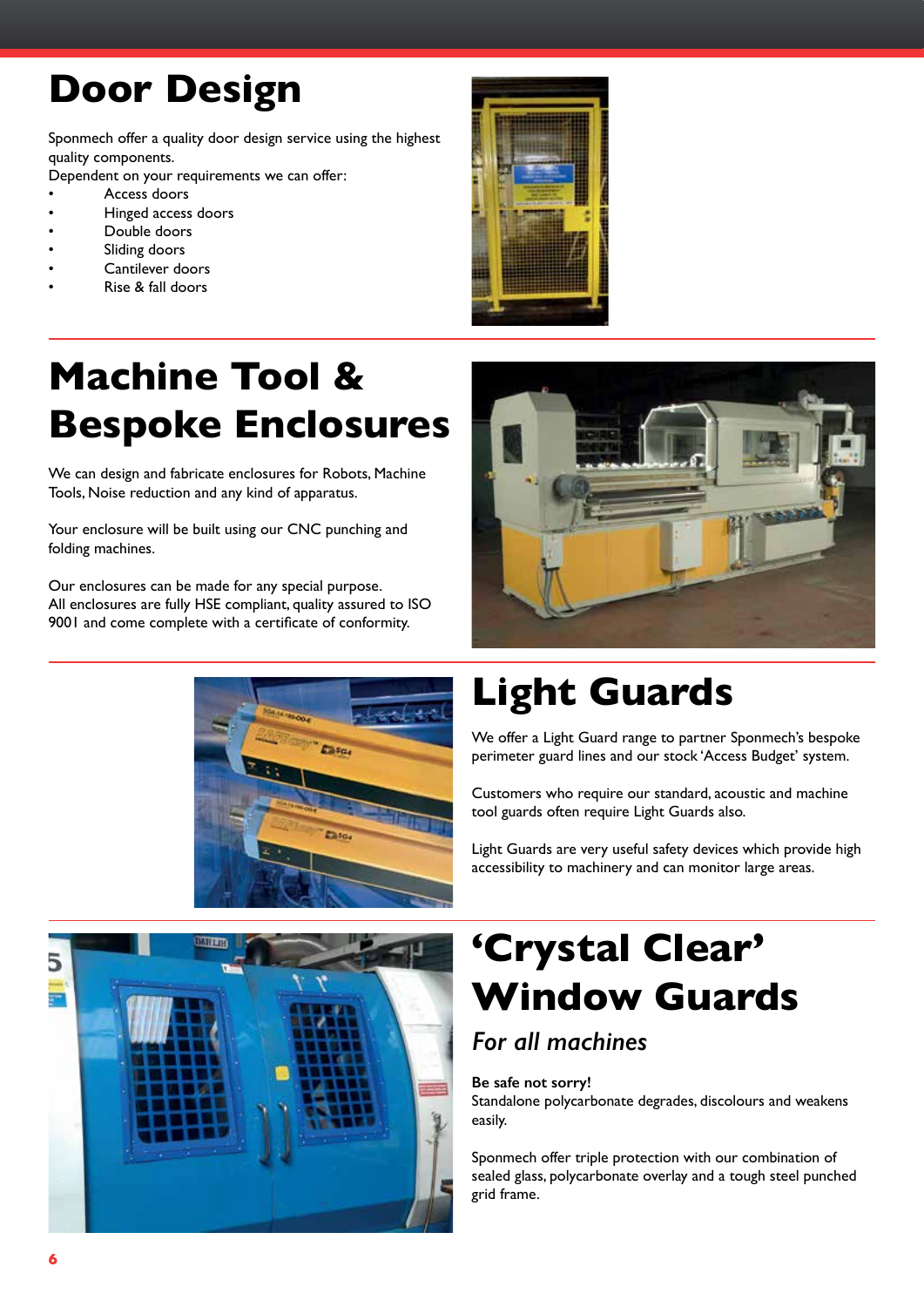### **Door Design**

Sponmech offer a quality door design service using the highest quality components.

Dependent on your requirements we can offer:

- Access doors
- Hinged access doors
- Double doors
- Sliding doors
- Cantilever doors
- Rise & fall doors



## **Machine Tool & Bespoke Enclosures**

We can design and fabricate enclosures for Robots, Machine Tools, Noise reduction and any kind of apparatus.

Your enclosure will be built using our CNC punching and folding machines.

Our enclosures can be made for any special purpose. All enclosures are fully HSE compliant, quality assured to ISO 9001 and come complete with a certificate of conformity.





## **Light Guards**

We offer a Light Guard range to partner Sponmech's bespoke perimeter guard lines and our stock 'Access Budget' system.

Customers who require our standard, acoustic and machine tool guards often require Light Guards also.

Light Guards are very useful safety devices which provide high accessibility to machinery and can monitor large areas.



## **'Crystal Clear' Window Guards**

### *For all machines*

**Be safe not sorry!**

Standalone polycarbonate degrades, discolours and weakens easily.

Sponmech offer triple protection with our combination of sealed glass, polycarbonate overlay and a tough steel punched grid frame.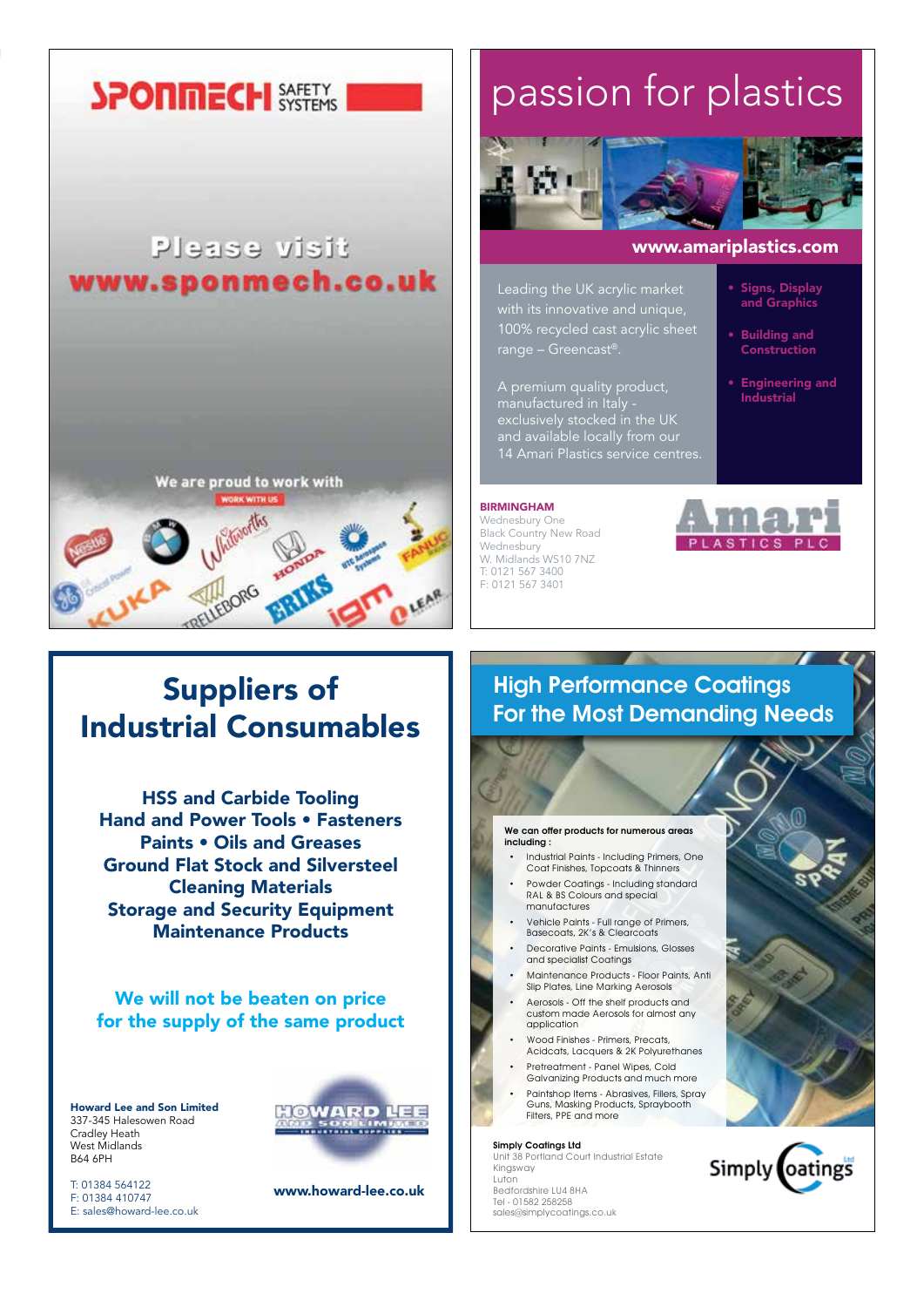### **SPONMECH SAFETY**

### Please visit www.sponmech.co.uk



### Suppliers of Industrial Consumables

HSS and Carbide Tooling Hand and Power Tools • Fasteners Paints • Oils and Greases Ground Flat Stock and Silversteel Cleaning Materials Storage and Security Equipment Maintenance Products

We will not be beaten on price for the supply of the same product

Howard Lee and Son Limited 337-345 Halesowen Road Cradley Heath West Midlands B64 6PH

T: 01384 564122 F: 01384 410747 E: sales@howard-lee.co.uk



www.howard-lee.co.uk

## passion for plastics



#### www.amariplastics.com

Signs, Display and Graphics

• Building and Construction

• Engineering and Industrial

Leading the UK acrylic market with its innovative and unique, 100% recycled cast acrylic sheet

A premium quality product, manufactured in Italy exclusively stocked in the UK and available locally from our

#### BIRMINGHAM

Wednesbury One Black Country New Road Wednesbury W. Midlands WS10 7NZ T: 0121 567 3400 F: 0121 567 3401



### High Performance Coatings For the Most Demanding Needs

We can offer products for numerous areas including :

- Industrial Paints Including Primers, One Coat Finishes, Topcoats & Thinners
- Powder Coatings Including standard RAL & BS Colours and special manufactures
- Vehicle Paints Full range of Primers, Basecoats, 2K's & Clearcoats
- • Decorative Paints Emulsions, Glosses and specialist Coatings
- Maintenance Products Floor Paints, Anti Slip Plates, Line Marking Aerosols
- Aerosols Off the shelf products and custom made Aerosols for almost any application
- Wood Finishes Primers, Precats Acidcats, Lacquers & 2K Polyurethanes
- Pretreatment Panel Wipes, Cold Galvanizing Products and much more
- Paintshop Items Abrasives, Fillers, Spray Guns, Masking Products, Spraybooth Filters, PPE and more

#### Simply Coatings Ltd

Unit 38 Portland Court Industrial Estate Kingsway Luton Bedfordshire LU4 8HA Tel - 01582 258258 sales@simplycoatings.co.uk